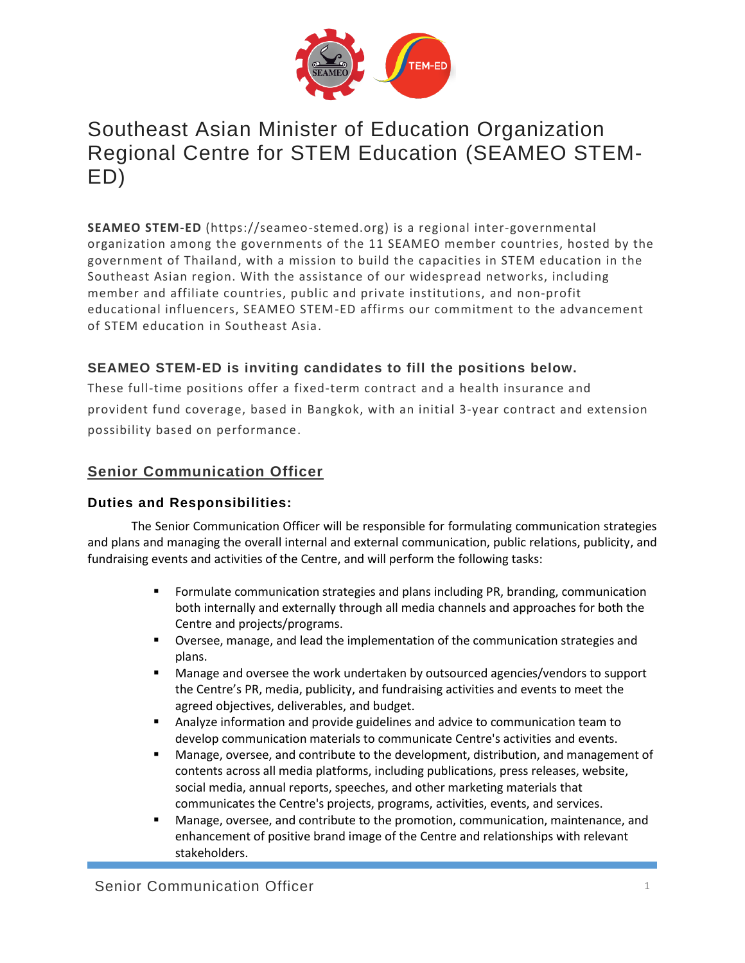

# Southeast Asian Minister of Education Organization Regional Centre for STEM Education (SEAMEO STEM-ED)

**SEAMEO STEM-ED** (https://seameo-stemed.org) is a regional inter-governmental organization among the governments of the 11 SEAMEO member countries, hosted by the government of Thailand, with a mission to build the capacities in STEM education in the Southeast Asian region. With the assistance of our widespread networks, including member and affiliate countries, public and private institutions, and non-profit educational influencers, SEAMEO STEM-ED affirms our commitment to the advancement of STEM education in Southeast Asia.

## **SEAMEO STEM-ED is inviting candidates to fill the positions below.**

These full-time positions offer a fixed-term contract and a health insurance and provident fund coverage, based in Bangkok, with an initial 3-year contract and extension possibility based on performance.

## **Senior Communication Officer**

### **Duties and Responsibilities:**

The Senior Communication Officer will be responsible for formulating communication strategies and plans and managing the overall internal and external communication, public relations, publicity, and fundraising events and activities of the Centre, and will perform the following tasks:

- **•** Formulate communication strategies and plans including PR, branding, communication both internally and externally through all media channels and approaches for both the Centre and projects/programs.
- Oversee, manage, and lead the implementation of the communication strategies and plans.
- Manage and oversee the work undertaken by outsourced agencies/vendors to support the Centre's PR, media, publicity, and fundraising activities and events to meet the agreed objectives, deliverables, and budget.
- Analyze information and provide guidelines and advice to communication team to develop communication materials to communicate Centre's activities and events.
- Manage, oversee, and contribute to the development, distribution, and management of contents across all media platforms, including publications, press releases, website, social media, annual reports, speeches, and other marketing materials that communicates the Centre's projects, programs, activities, events, and services.
- Manage, oversee, and contribute to the promotion, communication, maintenance, and enhancement of positive brand image of the Centre and relationships with relevant stakeholders.